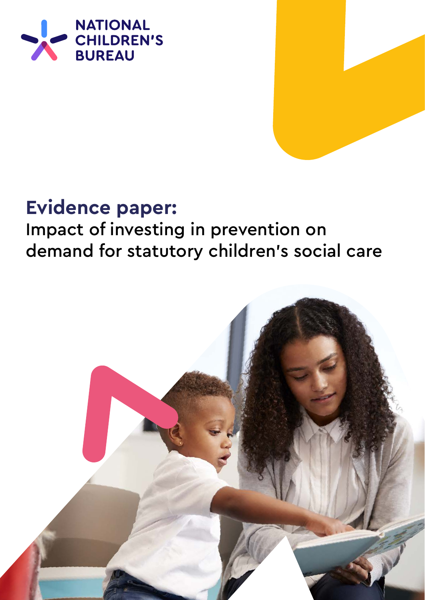

# **Evidence paper:**

# Impact of investing in prevention on demand for statutory children's social care

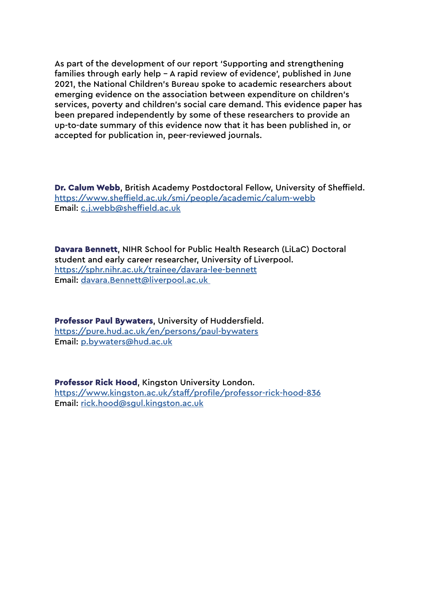As part of the development of our report 'Supporting and strengthening families through early help - A rapid review of evidence', published in June 2021, the National Children's Bureau spoke to academic researchers about emerging evidence on the association between expenditure on children's services, poverty and children's social care demand. This evidence paper has been prepared independently by some of these researchers to provide an up-to-date summary of this evidence now that it has been published in, or accepted for publication in, peer-reviewed journals.

Dr. Calum Webb, British Academy Postdoctoral Fellow, University of Sheffield. <https://www.sheffield.ac.uk/smi/people/academic/calum-webb> Email: [c.j.webb@sheffield.ac.uk](mailto:c.j.webb%40sheffield.ac.uk%20%20%20?subject=)

Davara Bennett, NIHR School for Public Health Research (LiLaC) Doctoral student and early career researcher, University of Liverpool. [https://sphr.nihr.ac.uk/trainee/davara-lee-bennett](https://sphr.nihr.ac.uk/trainee/davara-lee-bennett/  ) Email: [davara.Bennett@liverpool.ac.uk](mailto:davara.Bennett%40liverpool.ac.uk%20?subject=) 

Professor Paul Bywaters, University of Huddersfield. <https://pure.hud.ac.uk/en/persons/paul-bywaters> Email: [p.bywaters@hud.ac.uk](mailto:p.bywaters%40hud.ac.uk?subject=)

Professor Rick Hood, Kingston University London. <https://www.kingston.ac.uk/staff/profile/professor-rick-hood-836> Email: [rick.hood@sgul.kingston.ac.uk](mailto:rick.hood%40sgul.kingston.ac.uk?subject=)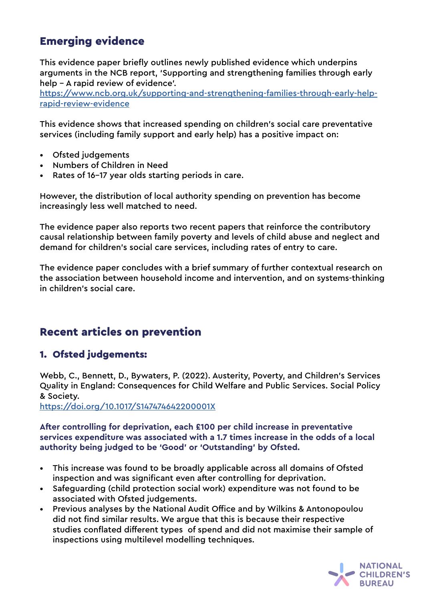# Emerging evidence

This evidence paper briefly outlines newly published evidence which underpins arguments in the NCB report, 'Supporting and strengthening families through early help - A rapid review of evidence'.

[https://www.ncb.org.uk/supporting-and-strengthening-families-through-early-help](https://www.ncb.org.uk/supporting-and-strengthening-families-through-early-help-rapid-review-evidence)[rapid-review-evidence](https://www.ncb.org.uk/supporting-and-strengthening-families-through-early-help-rapid-review-evidence)

This evidence shows that increased spending on children's social care preventative services (including family support and early help) has a positive impact on:

- Ofsted judgements
- Numbers of Children in Need
- Rates of 16-17 year olds starting periods in care.

However, the distribution of local authority spending on prevention has become increasingly less well matched to need.

The evidence paper also reports two recent papers that reinforce the contributory causal relationship between family poverty and levels of child abuse and neglect and demand for children's social care services, including rates of entry to care.

The evidence paper concludes with a brief summary of further contextual research on the association between household income and intervention, and on systems-thinking in children's social care.

# Recent articles on prevention

### 1. Ofsted judgements:

Webb, C., Bennett, D., Bywaters, P. (2022). Austerity, Poverty, and Children's Services Quality in England: Consequences for Child Welfare and Public Services. Social Policy & Society.

[https://doi.org/10.1017/S147474642200001X](https://doi.org/10.1017/S147474642200001X )

**After controlling for deprivation, each £100 per child increase in preventative services expenditure was associated with a 1.7 times increase in the odds of a local authority being judged to be 'Good' or 'Outstanding' by Ofsted.**

- This increase was found to be broadly applicable across all domains of Ofsted inspection and was significant even after controlling for deprivation.
- Safeguarding (child protection social work) expenditure was not found to be associated with Ofsted judgements.
- Previous analyses by the National Audit Office and by Wilkins & Antonopoulou did not find similar results. We argue that this is because their respective studies conflated different types of spend and did not maximise their sample of inspections using multilevel modelling techniques.

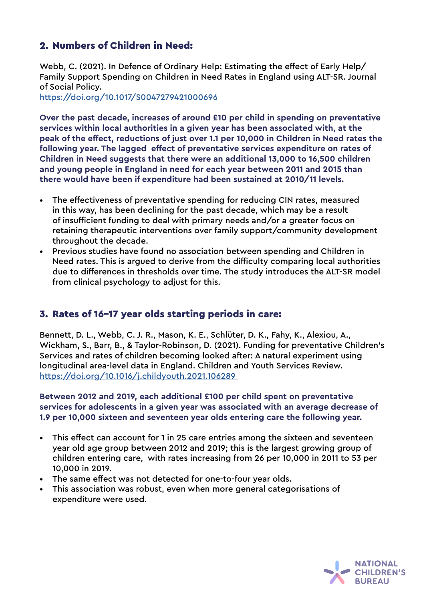### 2. Numbers of Children in Need:

Webb, C. (2021). In Defence of Ordinary Help: Estimating the effect of Early Help/ Family Support Spending on Children in Need Rates in England using ALT-SR. Journal of Social Policy.

[https://doi.org/10.1017/S0047279421000696](https://doi.org/10.1017/S0047279421000696  ) 

**Over the past decade, increases of around £10 per child in spending on preventative services within local authorities in a given year has been associated with, at the peak of the effect, reductions of just over 1.1 per 10,000 in Children in Need rates the following year. The lagged effect of preventative services expenditure on rates of Children in Need suggests that there were an additional 13,000 to 16,500 children and young people in England in need for each year between 2011 and 2015 than there would have been if expenditure had been sustained at 2010/11 levels.**

- The effectiveness of preventative spending for reducing CIN rates, measured in this way, has been declining for the past decade, which may be a result of insufficient funding to deal with primary needs and/or a greater focus on retaining therapeutic interventions over family support/community development throughout the decade.
- Previous studies have found no association between spending and Children in Need rates. This is argued to derive from the difficulty comparing local authorities due to differences in thresholds over time. The study introduces the ALT-SR model from clinical psychology to adjust for this.

### 3. Rates of 16-17 year olds starting periods in care:

Bennett, D. L., Webb, C. J. R., Mason, K. E., Schlüter, D. K., Fahy, K., Alexiou, A., Wickham, S., Barr, B., & Taylor-Robinson, D. (2021). Funding for preventative Children's Services and rates of children becoming looked after: A natural experiment using longitudinal area-level data in England. Children and Youth Services Review. [https://doi.org/10.1016/j.childyouth.2021.106289](https://doi.org/10.1016/j.childyouth.2021.106289 ) 

**Between 2012 and 2019, each additional £100 per child spent on preventative services for adolescents in a given year was associated with an average decrease of 1.9 per 10,000 sixteen and seventeen year olds entering care the following year.**

- This effect can account for 1 in 25 care entries among the sixteen and seventeen year old age group between 2012 and 2019; this is the largest growing group of children entering care, with rates increasing from 26 per 10,000 in 2011 to 53 per 10,000 in 2019.
- The same effect was not detected for one-to-four year olds.
- This association was robust, even when more general categorisations of expenditure were used.

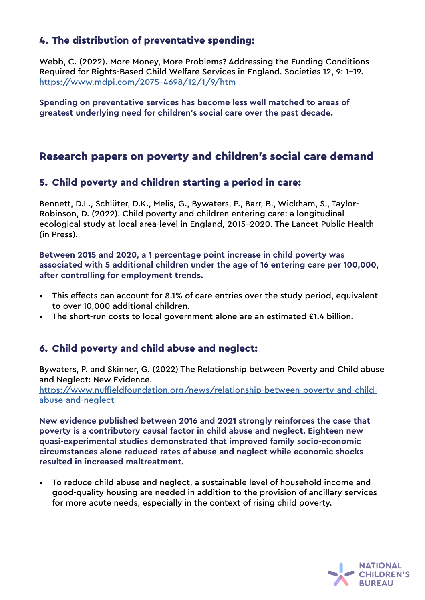## 4. The distribution of preventative spending:

Webb, C. (2022). More Money, More Problems? Addressing the Funding Conditions Required for Rights-Based Child Welfare Services in England. Societies 12, 9: 1-19. <https://www.mdpi.com/2075-4698/12/1/9/htm>

**Spending on preventative services has become less well matched to areas of greatest underlying need for children's social care over the past decade.** 

## Research papers on poverty and children's social care demand

#### 5. Child poverty and children starting a period in care:

Bennett, D.L., Schlüter, D.K., Melis, G., Bywaters, P., Barr, B., Wickham, S., Taylor-Robinson, D. (2022). Child poverty and children entering care: a longitudinal ecological study at local area-level in England, 2015-2020. The Lancet Public Health (in Press).

**Between 2015 and 2020, a 1 percentage point increase in child poverty was associated with 5 additional children under the age of 16 entering care per 100,000, after controlling for employment trends.**

- This effects can account for 8.1% of care entries over the study period, equivalent to over 10,000 additional children.
- The short-run costs to local government alone are an estimated £1.4 billion.

### 6. Child poverty and child abuse and neglect:

Bywaters, P. and Skinner, G. (2022) The Relationship between Poverty and Child abuse and Neglect: New Evidence.

[https://www.nuffieldfoundation.org/news/relationship-between-poverty-and-child](https://www.nuffieldfoundation.org/news/relationship-between-poverty-and-child-abuse-and-neglect )[abuse-and-neglect](https://www.nuffieldfoundation.org/news/relationship-between-poverty-and-child-abuse-and-neglect ) 

**New evidence published between 2016 and 2021 strongly reinforces the case that poverty is a contributory causal factor in child abuse and neglect. Eighteen new quasi-experimental studies demonstrated that improved family socio-economic circumstances alone reduced rates of abuse and neglect while economic shocks resulted in increased maltreatment.**

• To reduce child abuse and neglect, a sustainable level of household income and good-quality housing are needed in addition to the provision of ancillary services for more acute needs, especially in the context of rising child poverty.